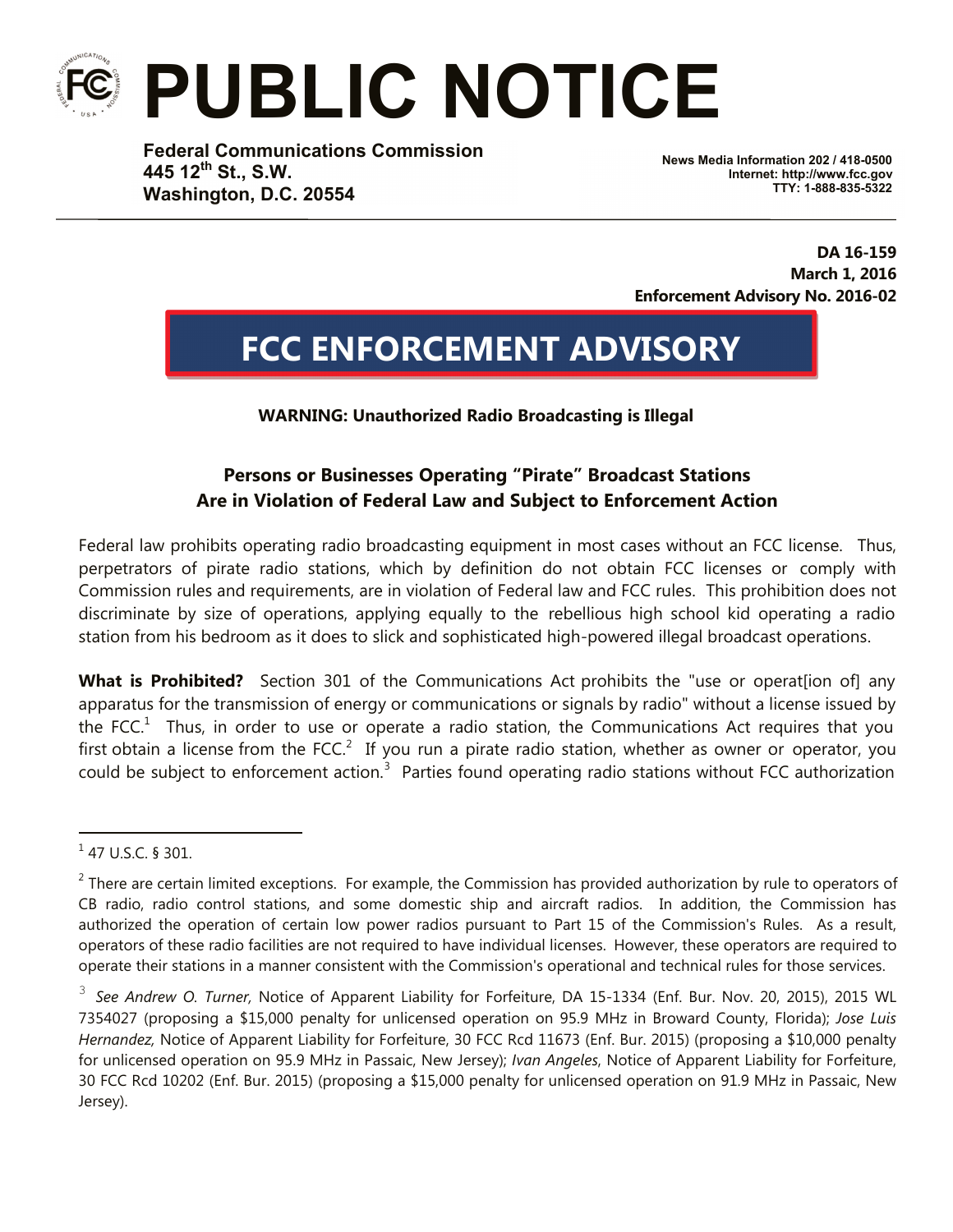## **PUBLIC NOTICE**

**Federal Communications Commission 445 12th St., S.W. Washington, D.C. 20554**

**News Media Information 202 / 418-0500 Internet: http://www.fcc.gov TTY: 1-888-835-5322**

**DA 16-159 March 1, 2016 Enforcement Advisory No. 2016-02**

## **FCC ENFORCEMENT ADVISORY**

**WARNING: Unauthorized Radio Broadcasting is Illegal**

## **Persons or Businesses Operating "Pirate" Broadcast Stations Are in Violation of Federal Law and Subject to Enforcement Action**

Federal law prohibits operating radio broadcasting equipment in most cases without an FCC license. Thus, perpetrators of pirate radio stations, which by definition do not obtain FCC licenses or comply with Commission rules and requirements, are in violation of Federal law and FCC rules. This prohibition does not discriminate by size of operations, applying equally to the rebellious high school kid operating a radio station from his bedroom as it does to slick and sophisticated high-powered illegal broadcast operations.

**What is Prohibited?** Section 301 of the Communications Act prohibits the "use or operation of any apparatus for the transmission of energy or communications or signals by radio" without a license issued by the FCC.<sup>1</sup> Thus, in order to use or operate a radio station, the Communications Act requires that you first obtain a license from the FCC.<sup>2</sup> If you run a pirate radio station, whether as owner or operator, you could be subject to enforcement action. $3$  Parties found operating radio stations without FCC authorization

i

 $1$  47 U.S.C. § 301.

 $2$  There are certain limited exceptions. For example, the Commission has provided authorization by rule to operators of CB radio, radio control stations, and some domestic ship and aircraft radios. In addition, the Commission has authorized the operation of certain low power radios pursuant to Part 15 of the Commission's Rules. As a result, operators of these radio facilities are not required to have individual licenses. However, these operators are required to operate their stations in a manner consistent with the Commission's operational and technical rules for those services.

<sup>3</sup> *See Andrew O. Turner,* Notice of Apparent Liability for Forfeiture, DA 15-1334 (Enf. Bur. Nov. 20, 2015), 2015 WL 7354027 (proposing a \$15,000 penalty for unlicensed operation on 95.9 MHz in Broward County, Florida); *Jose Luis Hernandez,* Notice of Apparent Liability for Forfeiture, 30 FCC Rcd 11673 (Enf. Bur. 2015) (proposing a \$10,000 penalty for unlicensed operation on 95.9 MHz in Passaic, New Jersey); *Ivan Angeles*, Notice of Apparent Liability for Forfeiture, 30 FCC Rcd 10202 (Enf. Bur. 2015) (proposing a \$15,000 penalty for unlicensed operation on 91.9 MHz in Passaic, New Jersey).